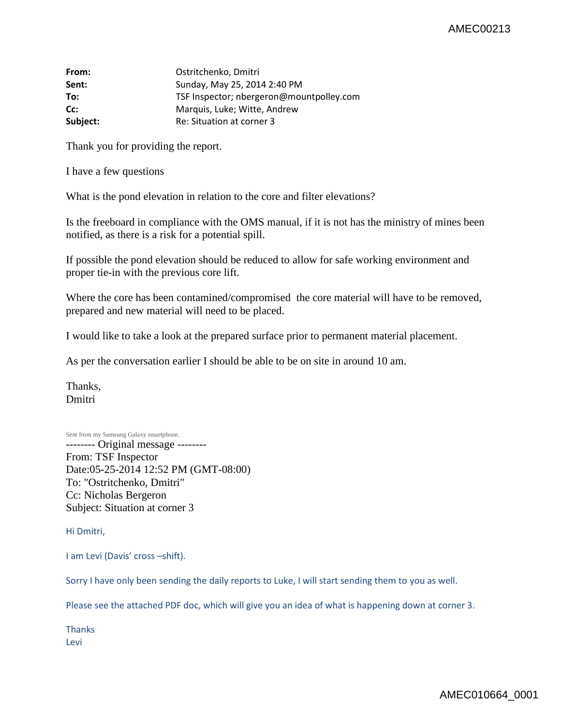## AMEC00213

| From:    | Ostritchenko, Dmitri                     |
|----------|------------------------------------------|
| Sent:    | Sunday, May 25, 2014 2:40 PM             |
| To:      | TSF Inspector; nbergeron@mountpolley.com |
| Cc:      | Marquis, Luke; Witte, Andrew             |
| Subject: | Re: Situation at corner 3                |

Thank you for providing the report.

I have a few questions

What is the pond elevation in relation to the core and filter elevations?

Is the freeboard in compliance with the OMS manual, if it is not has the ministry of mines been notified, as there is a risk for a potential spill.

If possible the pond elevation should be reduced to allow for safe working environment and proper tie-in with the previous core lift.

Where the core has been contamined/compromised the core material will have to be removed, prepared and new material will need to be placed.

I would like to take a look at the prepared surface prior to permanent material placement.

As per the conversation earlier I should be able to be on site in around 10 am.

Thanks, Dmitri

Sent from my Samsung Galaxy smartphone.

-------- Original message -------- From: TSF Inspector Date:05-25-2014 12:52 PM (GMT-08:00) To: "Ostritchenko, Dmitri" Cc: Nicholas Bergeron Subject: Situation at corner 3

Hi Dmitri,

I am Levi (Davis' cross –shift).

Sorry I have only been sending the daily reports to Luke, I will start sending them to you as well.

Please see the attached PDF doc, which will give you an idea of what is happening down at corner 3.

Thanks Levi